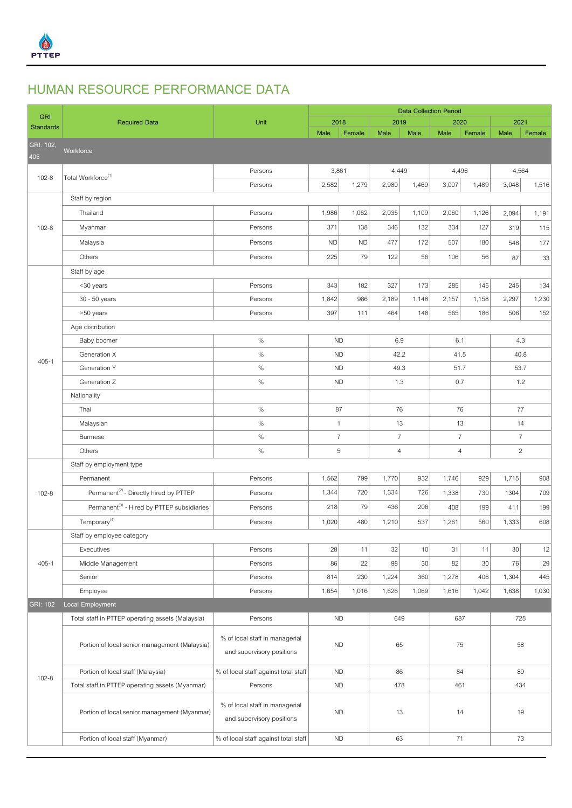

## **HUMAN RESOURCE PERFORMANCE DATA**

| <b>GRI</b>       | <b>Required Data</b>                                   | Unit                                                        | <b>Data Collection Period</b> |           |                |       |                |        |                |        |  |
|------------------|--------------------------------------------------------|-------------------------------------------------------------|-------------------------------|-----------|----------------|-------|----------------|--------|----------------|--------|--|
| <b>Standards</b> |                                                        |                                                             | 2018                          |           | 2019           |       | 2020           |        | 2021           |        |  |
| GRI: 102,        |                                                        |                                                             | Male                          | Female    | Male           | Male  | Male           | Female | Male           | Female |  |
| 405              | Workforce                                              |                                                             |                               |           |                |       |                |        |                |        |  |
|                  |                                                        | Persons                                                     | 3,861                         |           | 4,449          |       | 4,496          |        | 4,564          |        |  |
| $102 - 8$        | Total Workforce <sup>(1)</sup>                         | Persons                                                     | 2,582                         | 1,279     | 2,980          | 1,469 | 3,007          | 1,489  | 3,048          | 1,516  |  |
|                  | Staff by region                                        |                                                             |                               |           |                |       |                |        |                |        |  |
|                  | Thailand                                               | Persons                                                     | 1,986                         | 1,062     | 2,035          | 1,109 | 2,060          | 1,126  | 2,094          | 1,191  |  |
| $102 - 8$        | Myanmar                                                | Persons                                                     | 371                           | 138       | 346            | 132   | 334            | 127    | 319            | 115    |  |
|                  | Malaysia                                               | Persons                                                     | <b>ND</b>                     | <b>ND</b> | 477            | 172   | 507            | 180    | 548            | 177    |  |
|                  | Others                                                 | Persons                                                     | 225                           | 79        | 122            | 56    | 106            | 56     | 87             | 33     |  |
|                  | Staff by age                                           |                                                             |                               |           |                |       |                |        |                |        |  |
|                  | <30 years                                              | Persons                                                     | 343                           | 182       | 327            | 173   | 285            | 145    | 245            | 134    |  |
|                  | 30 - 50 years                                          | Persons                                                     | 1,842                         | 986       | 2,189          | 1,148 | 2,157          | 1,158  | 2,297          | 1,230  |  |
|                  | >50 years                                              | Persons                                                     | 397                           | 111       | 464            | 148   | 565            | 186    | 506            | 152    |  |
|                  | Age distribution                                       |                                                             |                               |           |                |       |                |        |                |        |  |
|                  | Baby boomer                                            | $\%$                                                        | <b>ND</b>                     |           | 6.9            |       | 6.1            |        | 4.3            |        |  |
| $405 - 1$        | Generation X                                           | $\%$                                                        | <b>ND</b>                     |           | 42.2           |       | 41.5           |        | 40.8           |        |  |
|                  | Generation Y                                           | $\%$                                                        | <b>ND</b>                     |           | 49.3           |       | 51.7           |        | 53.7           |        |  |
|                  | Generation Z                                           | $\%$                                                        | <b>ND</b>                     |           | 1.3            |       | 0.7            |        | 1.2            |        |  |
|                  | Nationality                                            |                                                             |                               |           |                |       |                |        |                |        |  |
|                  | Thai                                                   | $\%$                                                        | 87                            |           | 76             |       | 76             |        | 77             |        |  |
|                  | Malaysian                                              | $\%$                                                        | $\mathbf{1}$                  |           | 13             |       | 13             |        | 14             |        |  |
|                  | <b>Burmese</b>                                         | $\%$                                                        | $\overline{7}$                |           | $\overline{7}$ |       | $\overline{7}$ |        | $\overline{7}$ |        |  |
|                  | Others                                                 | $\%$                                                        | 5                             |           | $\overline{4}$ |       | $\overline{4}$ |        | $\overline{c}$ |        |  |
|                  | Staff by employment type                               |                                                             |                               |           |                |       |                |        |                |        |  |
|                  | Permanent                                              | Persons                                                     | 1,562                         | 799       | 1,770          | 932   | 1,746          | 929    | 1,715          | 908    |  |
| $102 - 8$        | Permanent <sup>(2)</sup> - Directly hired by PTTEP     | Persons                                                     | 1,344                         | 720       | 1,334          | 726   | 1,338          | 730    | 1304           | 709    |  |
|                  | Permanent <sup>(3)</sup> - Hired by PTTEP subsidiaries | Persons                                                     | 218                           | 79        | 436            | 206   | 408            | 199    | 411            | 199    |  |
|                  | Temporary <sup>(4)</sup>                               | Persons                                                     | 1,020                         | 480       | 1,210          | 537   | 1,261          | 560    | 1,333          | 608    |  |
|                  | Staff by employee category                             |                                                             |                               |           |                |       |                |        |                |        |  |
|                  | Executives                                             | Persons                                                     | 28                            | 11        | 32             | 10    | 31             | 11     | 30             | 12     |  |
| $405 - 1$        | Middle Management                                      | Persons                                                     | 86                            | 22        | 98             | 30    | 82             | 30     | 76             | 29     |  |
|                  | Senior                                                 | Persons                                                     | 814                           | 230       | 1,224          | 360   | 1,278          | 406    | 1,304          | 445    |  |
|                  | Employee                                               | Persons                                                     | 1,654                         | 1,016     | 1,626          | 1,069 | 1,616          | 1,042  | 1,638          | 1,030  |  |
| <b>GRI: 102</b>  | Local Employment                                       |                                                             |                               |           |                |       |                |        |                |        |  |
|                  | Total staff in PTTEP operating assets (Malaysia)       | Persons                                                     |                               | <b>ND</b> |                | 649   |                | 687    |                | 725    |  |
| $102 - 8$        | Portion of local senior management (Malaysia)          | % of local staff in managerial<br>and supervisory positions | <b>ND</b>                     |           | 65             |       | 75             |        | 58             |        |  |
|                  | Portion of local staff (Malaysia)                      | % of local staff against total staff                        | <b>ND</b>                     |           | 86             |       | 84             |        | 89             |        |  |
|                  | Total staff in PTTEP operating assets (Myanmar)        | Persons                                                     | <b>ND</b>                     |           | 478            |       | 461            |        | 434            |        |  |
|                  | Portion of local senior management (Myanmar)           | % of local staff in managerial<br>and supervisory positions | <b>ND</b>                     |           | 13             |       | 14             |        | 19             |        |  |
|                  | Portion of local staff (Myanmar)                       | % of local staff against total staff                        | <b>ND</b>                     |           | 63             |       | 71             |        | 73             |        |  |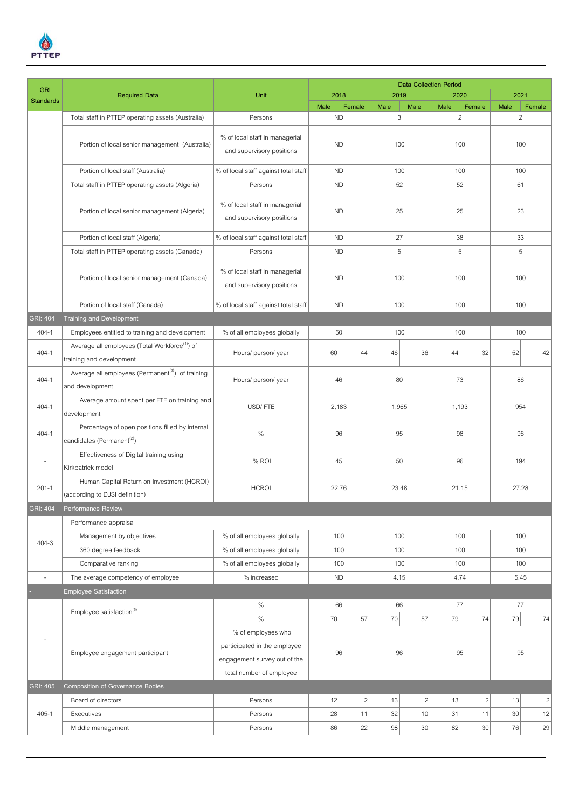

| 2018<br>2019<br>2020<br>2021<br><b>Required Data</b><br>Unit<br><b>Standards</b><br>Male<br>Female<br>Male<br>Female<br>Female<br>Male<br>Male<br>Male<br>3<br>$\overline{c}$<br>$\overline{a}$<br><b>ND</b><br>Total staff in PTTEP operating assets (Australia)<br>Persons<br>% of local staff in managerial<br>Portion of local senior management (Australia)<br><b>ND</b><br>100<br>100<br>100<br>and supervisory positions<br>Portion of local staff (Australia)<br>% of local staff against total staff<br><b>ND</b><br>100<br>100<br>100<br>Total staff in PTTEP operating assets (Algeria)<br>Persons<br><b>ND</b><br>52<br>52<br>61<br>% of local staff in managerial<br>25<br>23<br><b>ND</b><br>25<br>Portion of local senior management (Algeria)<br>and supervisory positions<br>% of local staff against total staff<br>27<br>Portion of local staff (Algeria)<br><b>ND</b><br>38<br>33<br>5<br>Total staff in PTTEP operating assets (Canada)<br><b>ND</b><br>5<br>5<br>Persons<br>% of local staff in managerial<br>Portion of local senior management (Canada)<br><b>ND</b><br>100<br>100<br>100<br>and supervisory positions<br>% of local staff against total staff<br><b>ND</b><br>100<br>100<br>Portion of local staff (Canada)<br>100<br>Training and Development<br><b>GRI: 404</b><br>50<br>100<br>404-1<br>Employees entitled to training and development<br>% of all employees globally<br>100<br>100<br>Average all employees (Total Workforce <sup>(1)</sup> ) of<br>$404 - 1$<br>52<br>Hours/ person/ year<br>60<br>46<br>36<br>32<br>42<br>44<br>44<br>training and development<br>Average all employees (Permanent <sup>(2)</sup> ) of training<br>73<br>$404 - 1$<br>Hours/ person/ year<br>46<br>80<br>86<br>and development<br>Average amount spent per FTE on training and<br>$404 - 1$<br>USD/FTE<br>954<br>1,965<br>1,193<br>2,183<br>development<br>Percentage of open positions filled by internal<br>$404 - 1$<br>$\%$<br>96<br>95<br>98<br>96<br>candidates (Permanent <sup>(2)</sup> )<br>Effectiveness of Digital training using<br>% ROI<br>45<br>50<br>96<br>194<br>$\overline{\phantom{a}}$<br>Kirkpatrick model<br>Human Capital Return on Investment (HCROI)<br>$201 - 1$<br><b>HCROI</b><br>22.76<br>23.48<br>21.15<br>27.28<br>(according to DJSI definition)<br><b>GRI: 404</b><br>Performance Review<br>Performance appraisal<br>% of all employees globally<br>100<br>100<br>100<br>100<br>Management by objectives<br>$404 - 3$<br>360 degree feedback<br>% of all employees globally<br>100<br>100<br>100<br>100<br>% of all employees globally<br>100<br>Comparative ranking<br>100<br>100<br>100<br>% increased<br>4.15<br>4.74<br>5.45<br>The average competency of employee<br><b>ND</b><br>$\overline{\phantom{a}}$<br><b>Employee Satisfaction</b><br>$\%$<br>66<br>66<br>77<br>77<br>Employee satisfaction <sup>(5)</sup><br>$\%$<br>57<br>70<br>79<br>70<br>57<br>79<br>74<br>74<br>% of employees who<br>participated in the employee<br>95<br>95<br>Employee engagement participant<br>96<br>96<br>engagement survey out of the<br>total number of employee<br><b>Composition of Governance Bodies</b><br><b>GRI: 405</b><br>$\overline{2}$<br>13<br>13<br>$\sqrt{2}$<br>Board of directors<br>12<br>13<br>$\overline{c}$<br>$\overline{2}$<br>Persons<br>32<br>10<br>30<br>12<br>$405 - 1$<br>28<br>11<br>31<br>11<br>Executives<br>Persons<br>22<br>86<br>98<br>30<br>82<br>30 <br>76<br>29<br>Middle management<br>Persons | <b>GRI</b> |  | <b>Data Collection Period</b> |  |  |  |  |  |  |  |
|------------------------------------------------------------------------------------------------------------------------------------------------------------------------------------------------------------------------------------------------------------------------------------------------------------------------------------------------------------------------------------------------------------------------------------------------------------------------------------------------------------------------------------------------------------------------------------------------------------------------------------------------------------------------------------------------------------------------------------------------------------------------------------------------------------------------------------------------------------------------------------------------------------------------------------------------------------------------------------------------------------------------------------------------------------------------------------------------------------------------------------------------------------------------------------------------------------------------------------------------------------------------------------------------------------------------------------------------------------------------------------------------------------------------------------------------------------------------------------------------------------------------------------------------------------------------------------------------------------------------------------------------------------------------------------------------------------------------------------------------------------------------------------------------------------------------------------------------------------------------------------------------------------------------------------------------------------------------------------------------------------------------------------------------------------------------------------------------------------------------------------------------------------------------------------------------------------------------------------------------------------------------------------------------------------------------------------------------------------------------------------------------------------------------------------------------------------------------------------------------------------------------------------------------------------------------------------------------------------------------------------------------------------------------------------------------------------------------------------------------------------------------------------------------------------------------------------------------------------------------------------------------------------------------------------------------------------------------------------------------------------------------------------------------------------------------------------------------------------------------------------------------------------------------------------------------------------------------------------------------------------------------------------------------------------------------------------------------------------------------------------------------------------------------------------------------------------------------------------------------|------------|--|-------------------------------|--|--|--|--|--|--|--|
|                                                                                                                                                                                                                                                                                                                                                                                                                                                                                                                                                                                                                                                                                                                                                                                                                                                                                                                                                                                                                                                                                                                                                                                                                                                                                                                                                                                                                                                                                                                                                                                                                                                                                                                                                                                                                                                                                                                                                                                                                                                                                                                                                                                                                                                                                                                                                                                                                                                                                                                                                                                                                                                                                                                                                                                                                                                                                                                                                                                                                                                                                                                                                                                                                                                                                                                                                                                                                                                                                                |            |  |                               |  |  |  |  |  |  |  |
|                                                                                                                                                                                                                                                                                                                                                                                                                                                                                                                                                                                                                                                                                                                                                                                                                                                                                                                                                                                                                                                                                                                                                                                                                                                                                                                                                                                                                                                                                                                                                                                                                                                                                                                                                                                                                                                                                                                                                                                                                                                                                                                                                                                                                                                                                                                                                                                                                                                                                                                                                                                                                                                                                                                                                                                                                                                                                                                                                                                                                                                                                                                                                                                                                                                                                                                                                                                                                                                                                                |            |  |                               |  |  |  |  |  |  |  |
|                                                                                                                                                                                                                                                                                                                                                                                                                                                                                                                                                                                                                                                                                                                                                                                                                                                                                                                                                                                                                                                                                                                                                                                                                                                                                                                                                                                                                                                                                                                                                                                                                                                                                                                                                                                                                                                                                                                                                                                                                                                                                                                                                                                                                                                                                                                                                                                                                                                                                                                                                                                                                                                                                                                                                                                                                                                                                                                                                                                                                                                                                                                                                                                                                                                                                                                                                                                                                                                                                                |            |  |                               |  |  |  |  |  |  |  |
|                                                                                                                                                                                                                                                                                                                                                                                                                                                                                                                                                                                                                                                                                                                                                                                                                                                                                                                                                                                                                                                                                                                                                                                                                                                                                                                                                                                                                                                                                                                                                                                                                                                                                                                                                                                                                                                                                                                                                                                                                                                                                                                                                                                                                                                                                                                                                                                                                                                                                                                                                                                                                                                                                                                                                                                                                                                                                                                                                                                                                                                                                                                                                                                                                                                                                                                                                                                                                                                                                                |            |  |                               |  |  |  |  |  |  |  |
|                                                                                                                                                                                                                                                                                                                                                                                                                                                                                                                                                                                                                                                                                                                                                                                                                                                                                                                                                                                                                                                                                                                                                                                                                                                                                                                                                                                                                                                                                                                                                                                                                                                                                                                                                                                                                                                                                                                                                                                                                                                                                                                                                                                                                                                                                                                                                                                                                                                                                                                                                                                                                                                                                                                                                                                                                                                                                                                                                                                                                                                                                                                                                                                                                                                                                                                                                                                                                                                                                                |            |  |                               |  |  |  |  |  |  |  |
|                                                                                                                                                                                                                                                                                                                                                                                                                                                                                                                                                                                                                                                                                                                                                                                                                                                                                                                                                                                                                                                                                                                                                                                                                                                                                                                                                                                                                                                                                                                                                                                                                                                                                                                                                                                                                                                                                                                                                                                                                                                                                                                                                                                                                                                                                                                                                                                                                                                                                                                                                                                                                                                                                                                                                                                                                                                                                                                                                                                                                                                                                                                                                                                                                                                                                                                                                                                                                                                                                                |            |  |                               |  |  |  |  |  |  |  |
|                                                                                                                                                                                                                                                                                                                                                                                                                                                                                                                                                                                                                                                                                                                                                                                                                                                                                                                                                                                                                                                                                                                                                                                                                                                                                                                                                                                                                                                                                                                                                                                                                                                                                                                                                                                                                                                                                                                                                                                                                                                                                                                                                                                                                                                                                                                                                                                                                                                                                                                                                                                                                                                                                                                                                                                                                                                                                                                                                                                                                                                                                                                                                                                                                                                                                                                                                                                                                                                                                                |            |  |                               |  |  |  |  |  |  |  |
|                                                                                                                                                                                                                                                                                                                                                                                                                                                                                                                                                                                                                                                                                                                                                                                                                                                                                                                                                                                                                                                                                                                                                                                                                                                                                                                                                                                                                                                                                                                                                                                                                                                                                                                                                                                                                                                                                                                                                                                                                                                                                                                                                                                                                                                                                                                                                                                                                                                                                                                                                                                                                                                                                                                                                                                                                                                                                                                                                                                                                                                                                                                                                                                                                                                                                                                                                                                                                                                                                                |            |  |                               |  |  |  |  |  |  |  |
|                                                                                                                                                                                                                                                                                                                                                                                                                                                                                                                                                                                                                                                                                                                                                                                                                                                                                                                                                                                                                                                                                                                                                                                                                                                                                                                                                                                                                                                                                                                                                                                                                                                                                                                                                                                                                                                                                                                                                                                                                                                                                                                                                                                                                                                                                                                                                                                                                                                                                                                                                                                                                                                                                                                                                                                                                                                                                                                                                                                                                                                                                                                                                                                                                                                                                                                                                                                                                                                                                                |            |  |                               |  |  |  |  |  |  |  |
|                                                                                                                                                                                                                                                                                                                                                                                                                                                                                                                                                                                                                                                                                                                                                                                                                                                                                                                                                                                                                                                                                                                                                                                                                                                                                                                                                                                                                                                                                                                                                                                                                                                                                                                                                                                                                                                                                                                                                                                                                                                                                                                                                                                                                                                                                                                                                                                                                                                                                                                                                                                                                                                                                                                                                                                                                                                                                                                                                                                                                                                                                                                                                                                                                                                                                                                                                                                                                                                                                                |            |  |                               |  |  |  |  |  |  |  |
|                                                                                                                                                                                                                                                                                                                                                                                                                                                                                                                                                                                                                                                                                                                                                                                                                                                                                                                                                                                                                                                                                                                                                                                                                                                                                                                                                                                                                                                                                                                                                                                                                                                                                                                                                                                                                                                                                                                                                                                                                                                                                                                                                                                                                                                                                                                                                                                                                                                                                                                                                                                                                                                                                                                                                                                                                                                                                                                                                                                                                                                                                                                                                                                                                                                                                                                                                                                                                                                                                                |            |  |                               |  |  |  |  |  |  |  |
|                                                                                                                                                                                                                                                                                                                                                                                                                                                                                                                                                                                                                                                                                                                                                                                                                                                                                                                                                                                                                                                                                                                                                                                                                                                                                                                                                                                                                                                                                                                                                                                                                                                                                                                                                                                                                                                                                                                                                                                                                                                                                                                                                                                                                                                                                                                                                                                                                                                                                                                                                                                                                                                                                                                                                                                                                                                                                                                                                                                                                                                                                                                                                                                                                                                                                                                                                                                                                                                                                                |            |  |                               |  |  |  |  |  |  |  |
|                                                                                                                                                                                                                                                                                                                                                                                                                                                                                                                                                                                                                                                                                                                                                                                                                                                                                                                                                                                                                                                                                                                                                                                                                                                                                                                                                                                                                                                                                                                                                                                                                                                                                                                                                                                                                                                                                                                                                                                                                                                                                                                                                                                                                                                                                                                                                                                                                                                                                                                                                                                                                                                                                                                                                                                                                                                                                                                                                                                                                                                                                                                                                                                                                                                                                                                                                                                                                                                                                                |            |  |                               |  |  |  |  |  |  |  |
|                                                                                                                                                                                                                                                                                                                                                                                                                                                                                                                                                                                                                                                                                                                                                                                                                                                                                                                                                                                                                                                                                                                                                                                                                                                                                                                                                                                                                                                                                                                                                                                                                                                                                                                                                                                                                                                                                                                                                                                                                                                                                                                                                                                                                                                                                                                                                                                                                                                                                                                                                                                                                                                                                                                                                                                                                                                                                                                                                                                                                                                                                                                                                                                                                                                                                                                                                                                                                                                                                                |            |  |                               |  |  |  |  |  |  |  |
|                                                                                                                                                                                                                                                                                                                                                                                                                                                                                                                                                                                                                                                                                                                                                                                                                                                                                                                                                                                                                                                                                                                                                                                                                                                                                                                                                                                                                                                                                                                                                                                                                                                                                                                                                                                                                                                                                                                                                                                                                                                                                                                                                                                                                                                                                                                                                                                                                                                                                                                                                                                                                                                                                                                                                                                                                                                                                                                                                                                                                                                                                                                                                                                                                                                                                                                                                                                                                                                                                                |            |  |                               |  |  |  |  |  |  |  |
|                                                                                                                                                                                                                                                                                                                                                                                                                                                                                                                                                                                                                                                                                                                                                                                                                                                                                                                                                                                                                                                                                                                                                                                                                                                                                                                                                                                                                                                                                                                                                                                                                                                                                                                                                                                                                                                                                                                                                                                                                                                                                                                                                                                                                                                                                                                                                                                                                                                                                                                                                                                                                                                                                                                                                                                                                                                                                                                                                                                                                                                                                                                                                                                                                                                                                                                                                                                                                                                                                                |            |  |                               |  |  |  |  |  |  |  |
|                                                                                                                                                                                                                                                                                                                                                                                                                                                                                                                                                                                                                                                                                                                                                                                                                                                                                                                                                                                                                                                                                                                                                                                                                                                                                                                                                                                                                                                                                                                                                                                                                                                                                                                                                                                                                                                                                                                                                                                                                                                                                                                                                                                                                                                                                                                                                                                                                                                                                                                                                                                                                                                                                                                                                                                                                                                                                                                                                                                                                                                                                                                                                                                                                                                                                                                                                                                                                                                                                                |            |  |                               |  |  |  |  |  |  |  |
|                                                                                                                                                                                                                                                                                                                                                                                                                                                                                                                                                                                                                                                                                                                                                                                                                                                                                                                                                                                                                                                                                                                                                                                                                                                                                                                                                                                                                                                                                                                                                                                                                                                                                                                                                                                                                                                                                                                                                                                                                                                                                                                                                                                                                                                                                                                                                                                                                                                                                                                                                                                                                                                                                                                                                                                                                                                                                                                                                                                                                                                                                                                                                                                                                                                                                                                                                                                                                                                                                                |            |  |                               |  |  |  |  |  |  |  |
|                                                                                                                                                                                                                                                                                                                                                                                                                                                                                                                                                                                                                                                                                                                                                                                                                                                                                                                                                                                                                                                                                                                                                                                                                                                                                                                                                                                                                                                                                                                                                                                                                                                                                                                                                                                                                                                                                                                                                                                                                                                                                                                                                                                                                                                                                                                                                                                                                                                                                                                                                                                                                                                                                                                                                                                                                                                                                                                                                                                                                                                                                                                                                                                                                                                                                                                                                                                                                                                                                                |            |  |                               |  |  |  |  |  |  |  |
|                                                                                                                                                                                                                                                                                                                                                                                                                                                                                                                                                                                                                                                                                                                                                                                                                                                                                                                                                                                                                                                                                                                                                                                                                                                                                                                                                                                                                                                                                                                                                                                                                                                                                                                                                                                                                                                                                                                                                                                                                                                                                                                                                                                                                                                                                                                                                                                                                                                                                                                                                                                                                                                                                                                                                                                                                                                                                                                                                                                                                                                                                                                                                                                                                                                                                                                                                                                                                                                                                                |            |  |                               |  |  |  |  |  |  |  |
|                                                                                                                                                                                                                                                                                                                                                                                                                                                                                                                                                                                                                                                                                                                                                                                                                                                                                                                                                                                                                                                                                                                                                                                                                                                                                                                                                                                                                                                                                                                                                                                                                                                                                                                                                                                                                                                                                                                                                                                                                                                                                                                                                                                                                                                                                                                                                                                                                                                                                                                                                                                                                                                                                                                                                                                                                                                                                                                                                                                                                                                                                                                                                                                                                                                                                                                                                                                                                                                                                                |            |  |                               |  |  |  |  |  |  |  |
|                                                                                                                                                                                                                                                                                                                                                                                                                                                                                                                                                                                                                                                                                                                                                                                                                                                                                                                                                                                                                                                                                                                                                                                                                                                                                                                                                                                                                                                                                                                                                                                                                                                                                                                                                                                                                                                                                                                                                                                                                                                                                                                                                                                                                                                                                                                                                                                                                                                                                                                                                                                                                                                                                                                                                                                                                                                                                                                                                                                                                                                                                                                                                                                                                                                                                                                                                                                                                                                                                                |            |  |                               |  |  |  |  |  |  |  |
|                                                                                                                                                                                                                                                                                                                                                                                                                                                                                                                                                                                                                                                                                                                                                                                                                                                                                                                                                                                                                                                                                                                                                                                                                                                                                                                                                                                                                                                                                                                                                                                                                                                                                                                                                                                                                                                                                                                                                                                                                                                                                                                                                                                                                                                                                                                                                                                                                                                                                                                                                                                                                                                                                                                                                                                                                                                                                                                                                                                                                                                                                                                                                                                                                                                                                                                                                                                                                                                                                                |            |  |                               |  |  |  |  |  |  |  |
|                                                                                                                                                                                                                                                                                                                                                                                                                                                                                                                                                                                                                                                                                                                                                                                                                                                                                                                                                                                                                                                                                                                                                                                                                                                                                                                                                                                                                                                                                                                                                                                                                                                                                                                                                                                                                                                                                                                                                                                                                                                                                                                                                                                                                                                                                                                                                                                                                                                                                                                                                                                                                                                                                                                                                                                                                                                                                                                                                                                                                                                                                                                                                                                                                                                                                                                                                                                                                                                                                                |            |  |                               |  |  |  |  |  |  |  |
|                                                                                                                                                                                                                                                                                                                                                                                                                                                                                                                                                                                                                                                                                                                                                                                                                                                                                                                                                                                                                                                                                                                                                                                                                                                                                                                                                                                                                                                                                                                                                                                                                                                                                                                                                                                                                                                                                                                                                                                                                                                                                                                                                                                                                                                                                                                                                                                                                                                                                                                                                                                                                                                                                                                                                                                                                                                                                                                                                                                                                                                                                                                                                                                                                                                                                                                                                                                                                                                                                                |            |  |                               |  |  |  |  |  |  |  |
|                                                                                                                                                                                                                                                                                                                                                                                                                                                                                                                                                                                                                                                                                                                                                                                                                                                                                                                                                                                                                                                                                                                                                                                                                                                                                                                                                                                                                                                                                                                                                                                                                                                                                                                                                                                                                                                                                                                                                                                                                                                                                                                                                                                                                                                                                                                                                                                                                                                                                                                                                                                                                                                                                                                                                                                                                                                                                                                                                                                                                                                                                                                                                                                                                                                                                                                                                                                                                                                                                                |            |  |                               |  |  |  |  |  |  |  |
|                                                                                                                                                                                                                                                                                                                                                                                                                                                                                                                                                                                                                                                                                                                                                                                                                                                                                                                                                                                                                                                                                                                                                                                                                                                                                                                                                                                                                                                                                                                                                                                                                                                                                                                                                                                                                                                                                                                                                                                                                                                                                                                                                                                                                                                                                                                                                                                                                                                                                                                                                                                                                                                                                                                                                                                                                                                                                                                                                                                                                                                                                                                                                                                                                                                                                                                                                                                                                                                                                                |            |  |                               |  |  |  |  |  |  |  |
|                                                                                                                                                                                                                                                                                                                                                                                                                                                                                                                                                                                                                                                                                                                                                                                                                                                                                                                                                                                                                                                                                                                                                                                                                                                                                                                                                                                                                                                                                                                                                                                                                                                                                                                                                                                                                                                                                                                                                                                                                                                                                                                                                                                                                                                                                                                                                                                                                                                                                                                                                                                                                                                                                                                                                                                                                                                                                                                                                                                                                                                                                                                                                                                                                                                                                                                                                                                                                                                                                                |            |  |                               |  |  |  |  |  |  |  |
|                                                                                                                                                                                                                                                                                                                                                                                                                                                                                                                                                                                                                                                                                                                                                                                                                                                                                                                                                                                                                                                                                                                                                                                                                                                                                                                                                                                                                                                                                                                                                                                                                                                                                                                                                                                                                                                                                                                                                                                                                                                                                                                                                                                                                                                                                                                                                                                                                                                                                                                                                                                                                                                                                                                                                                                                                                                                                                                                                                                                                                                                                                                                                                                                                                                                                                                                                                                                                                                                                                |            |  |                               |  |  |  |  |  |  |  |
|                                                                                                                                                                                                                                                                                                                                                                                                                                                                                                                                                                                                                                                                                                                                                                                                                                                                                                                                                                                                                                                                                                                                                                                                                                                                                                                                                                                                                                                                                                                                                                                                                                                                                                                                                                                                                                                                                                                                                                                                                                                                                                                                                                                                                                                                                                                                                                                                                                                                                                                                                                                                                                                                                                                                                                                                                                                                                                                                                                                                                                                                                                                                                                                                                                                                                                                                                                                                                                                                                                |            |  |                               |  |  |  |  |  |  |  |
|                                                                                                                                                                                                                                                                                                                                                                                                                                                                                                                                                                                                                                                                                                                                                                                                                                                                                                                                                                                                                                                                                                                                                                                                                                                                                                                                                                                                                                                                                                                                                                                                                                                                                                                                                                                                                                                                                                                                                                                                                                                                                                                                                                                                                                                                                                                                                                                                                                                                                                                                                                                                                                                                                                                                                                                                                                                                                                                                                                                                                                                                                                                                                                                                                                                                                                                                                                                                                                                                                                |            |  |                               |  |  |  |  |  |  |  |
|                                                                                                                                                                                                                                                                                                                                                                                                                                                                                                                                                                                                                                                                                                                                                                                                                                                                                                                                                                                                                                                                                                                                                                                                                                                                                                                                                                                                                                                                                                                                                                                                                                                                                                                                                                                                                                                                                                                                                                                                                                                                                                                                                                                                                                                                                                                                                                                                                                                                                                                                                                                                                                                                                                                                                                                                                                                                                                                                                                                                                                                                                                                                                                                                                                                                                                                                                                                                                                                                                                |            |  |                               |  |  |  |  |  |  |  |
|                                                                                                                                                                                                                                                                                                                                                                                                                                                                                                                                                                                                                                                                                                                                                                                                                                                                                                                                                                                                                                                                                                                                                                                                                                                                                                                                                                                                                                                                                                                                                                                                                                                                                                                                                                                                                                                                                                                                                                                                                                                                                                                                                                                                                                                                                                                                                                                                                                                                                                                                                                                                                                                                                                                                                                                                                                                                                                                                                                                                                                                                                                                                                                                                                                                                                                                                                                                                                                                                                                |            |  |                               |  |  |  |  |  |  |  |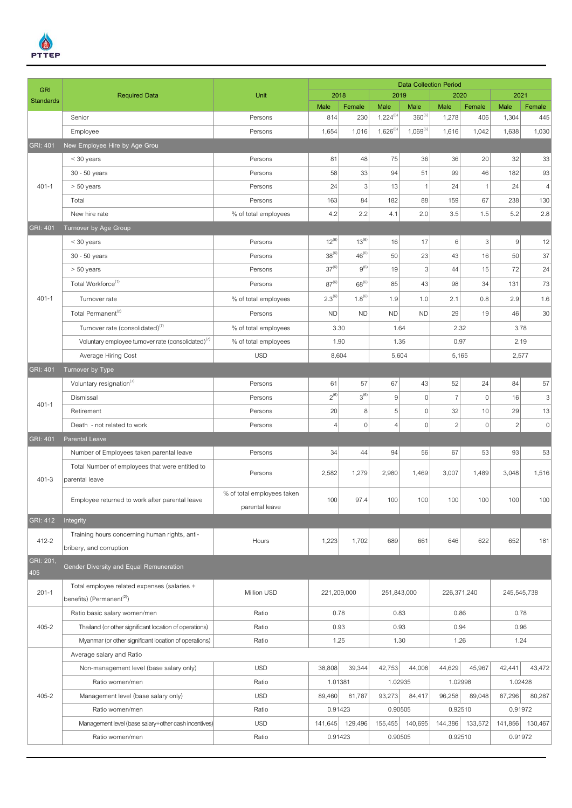

|                  | <b>Required Data</b><br>Unit                                             |                            | <b>Data Collection Period</b> |                       |                  |                           |                |                   |                |                           |  |  |
|------------------|--------------------------------------------------------------------------|----------------------------|-------------------------------|-----------------------|------------------|---------------------------|----------------|-------------------|----------------|---------------------------|--|--|
| <b>GRI</b>       |                                                                          |                            | 2018                          |                       | 2019             |                           | 2020           |                   | 2021           |                           |  |  |
| <b>Standards</b> |                                                                          |                            | Male                          | Female                | Male             | Male                      | Male           | Female            | Male           | Female                    |  |  |
|                  | Senior                                                                   | Persons                    | 814                           | 230                   | $1,224^{(6)}$    | $360^{(6)}$               | 1,278          | 406               | 1,304          | 445                       |  |  |
|                  | Employee                                                                 | Persons                    | 1,654                         | 1,016                 | $1,626^{(6)}$    | $1,069^{(6)}$             | 1,616          | 1,042             | 1,638          | 1,030                     |  |  |
| <b>GRI: 401</b>  | New Employee Hire by Age Grou                                            |                            |                               |                       |                  |                           |                |                   |                |                           |  |  |
|                  | $<$ 30 years                                                             | Persons                    | 81                            | 48                    | 75               | 36                        | 36             | 20                | 32             | 33                        |  |  |
|                  | 30 - 50 years                                                            | Persons                    | 58                            | 33                    | 94               | 51                        | 99             | 46                | 182            | 93                        |  |  |
| $401 - 1$        | $> 50$ years                                                             | Persons                    | 24                            | 3                     | 13               | $\mathbf{1}$              | 24             | $\mathbf{1}$      | 24             | $\vert 4 \vert$           |  |  |
|                  | Total                                                                    | Persons                    | 163                           | 84                    | 182              | 88                        | 159            | 67                | 238            | 130                       |  |  |
|                  | New hire rate                                                            | % of total employees       | 4.2                           | 2.2                   | 4.1              | 2.0                       | 3.5            | 1.5               | 5.2            | 2.8                       |  |  |
| <b>GRI: 401</b>  | Turnover by Age Group                                                    |                            |                               |                       |                  |                           |                |                   |                |                           |  |  |
|                  | $<$ 30 years                                                             | Persons                    | $12^{(6)}$                    | $13^{(6)}$            | 16               | 17                        | 6              | 3                 | 9 <sup>1</sup> | 12                        |  |  |
|                  | 30 - 50 years                                                            | Persons                    | $38^{(6)}$                    | $46^{(6)}$            | 50               | 23                        | 43             | 16                | 50             | 37                        |  |  |
|                  | $> 50$ years                                                             | Persons                    | $37^{(6)}$                    | $9^{(6)}$             | 19               | $\ensuremath{\mathsf{3}}$ | 44             | 15                | 72             | 24                        |  |  |
|                  | Total Workforce <sup>(1)</sup>                                           | Persons                    | $87^{(6)}$                    | $68^{(6)}$            | 85               | 43                        | 98             | 34                | 131            | 73                        |  |  |
| $401 - 1$        | Turnover rate                                                            | % of total employees       | $2.3^{(6)}$                   | $1.8^{(6)}$           | 1.9              | 1.0                       | 2.1            | 0.8               | 2.9            | 1.6                       |  |  |
|                  | Total Permanent <sup>(2)</sup>                                           | Persons                    | <b>ND</b>                     | <b>ND</b>             | <b>ND</b>        | <b>ND</b>                 | 29             | 19                | 46             | $30\,$                    |  |  |
|                  | Turnover rate (consolidated) <sup>(7)</sup>                              | % of total employees       | 3.30                          |                       | 1.64             |                           |                |                   |                |                           |  |  |
|                  | Voluntary employee turnover rate (consolidated) <sup>(7)</sup>           | % of total employees       | 1.90<br>1.35                  |                       | 2.32<br>0.97     |                           | 3.78<br>2.19   |                   |                |                           |  |  |
|                  | Average Hiring Cost                                                      | <b>USD</b>                 |                               |                       | 5,604            |                           |                |                   |                |                           |  |  |
| GRI: 401         |                                                                          |                            | 8,604                         |                       |                  | 5,165                     |                | 2,577             |                |                           |  |  |
|                  | Turnover by Type<br>Voluntary resignation $(7)$                          | Persons                    | 61                            | 57                    | 67               | 43                        | 52             | 24                | 84             | 57                        |  |  |
| $401 - 1$        | Dismissal                                                                | Persons                    | $2^{(6)}$                     | $3^{(6)}$             | $\boldsymbol{9}$ | $\mathbf 0$               | $\overline{7}$ | $\mathbf 0$       | 16             | $\ensuremath{\mathsf{3}}$ |  |  |
|                  | Retirement                                                               |                            | 20                            |                       | 5                | $\mathsf{O}\xspace$       | 32             |                   | 29             | 13                        |  |  |
|                  |                                                                          | Persons                    |                               | 8<br>$\boldsymbol{0}$ | $\overline{4}$   | $\mathsf{O}\xspace$       |                | 10<br>$\mathbf 0$ |                |                           |  |  |
|                  | Death - not related to work                                              | Persons                    | 4                             |                       |                  |                           | $\sqrt{2}$     |                   | $\overline{2}$ | $\,0\,$                   |  |  |
| <b>GRI: 401</b>  | <b>Parental Leave</b>                                                    |                            |                               |                       |                  |                           |                |                   |                |                           |  |  |
|                  | Number of Employees taken parental leave                                 | Persons                    | 34                            | 44                    | 94               | 56                        | 67             | 53                | 93             | 53                        |  |  |
| $401 - 3$        | Total Number of employees that were entitled to                          | Persons                    | 2,582                         | 1,279                 | 2,980            | 1,469                     | 3,007          | 1,489             | 3,048          | 1,516                     |  |  |
|                  | parental leave                                                           |                            |                               |                       |                  |                           |                |                   |                |                           |  |  |
|                  | Employee returned to work after parental leave                           | % of total employees taken | 100                           | 97.4                  | 100              | 100                       | 100            | 100               | 100            | 100                       |  |  |
|                  |                                                                          | parental leave             |                               |                       |                  |                           |                |                   |                |                           |  |  |
| <b>GRI: 412</b>  | Integrity                                                                |                            |                               |                       |                  |                           |                |                   |                |                           |  |  |
| 412-2            | Training hours concerning human rights, anti-<br>bribery, and corruption | Hours                      | 1,223                         | 1,702                 | 689              | 661                       | 646            | 622               | 652            | 181                       |  |  |
| GRI: 201,        |                                                                          |                            |                               |                       |                  |                           |                |                   |                |                           |  |  |
| 405              | Gender Diversity and Equal Remuneration                                  |                            |                               |                       |                  |                           |                |                   |                |                           |  |  |
|                  | Total employee related expenses (salaries +                              |                            |                               |                       | 251,843,000      |                           | 226,371,240    |                   | 245,545,738    |                           |  |  |
| $201 - 1$        | benefits) (Permanent <sup>(2)</sup> )                                    | Million USD                | 221,209,000                   |                       |                  |                           |                |                   |                |                           |  |  |
|                  | Ratio basic salary women/men                                             | Ratio                      | 0.78                          |                       | 0.83             |                           |                |                   | 0.86<br>0.78   |                           |  |  |
| $405 - 2$        | Thailand (or other significant location of operations)                   | Ratio                      | 0.93                          |                       | 0.93             |                           | 0.94           |                   | 0.96           |                           |  |  |
|                  | Myanmar (or other significant location of operations)                    | Ratio                      | 1.25                          |                       | 1.30             |                           | 1.26           |                   | 1.24           |                           |  |  |
|                  | Average salary and Ratio                                                 |                            |                               |                       |                  |                           |                |                   |                |                           |  |  |
|                  | Non-management level (base salary only)                                  | <b>USD</b>                 | 38,808                        | 39,344                | 42,753           | 44,008                    | 44,629         | 45,967            | 42,441         | 43,472                    |  |  |
|                  | Ratio women/men                                                          | Ratio                      | 1.01381                       |                       | 1.02935          |                           | 1.02998        |                   | 1.02428        |                           |  |  |
| $405 - 2$        | Management level (base salary only)                                      | <b>USD</b>                 | 89,460                        | 81,787                | 93,273           | 84,417                    | 96,258         | 89,048            | 87,296         | 80,287                    |  |  |
|                  | Ratio women/men                                                          | Ratio                      | 0.91423                       |                       | 0.90505          |                           | 0.92510        |                   | 0.91972        |                           |  |  |
|                  | Management level (base salary+other cash incentives)                     | <b>USD</b>                 | 141,645                       | 129,496               | 155,455          | 140,695                   | 144,386        | 133,572           | 141,856        | 130,467                   |  |  |
|                  | Ratio women/men                                                          | Ratio                      | 0.91423                       |                       | 0.90505          |                           | 0.92510        |                   | 0.91972        |                           |  |  |
|                  |                                                                          |                            |                               |                       |                  |                           |                |                   |                |                           |  |  |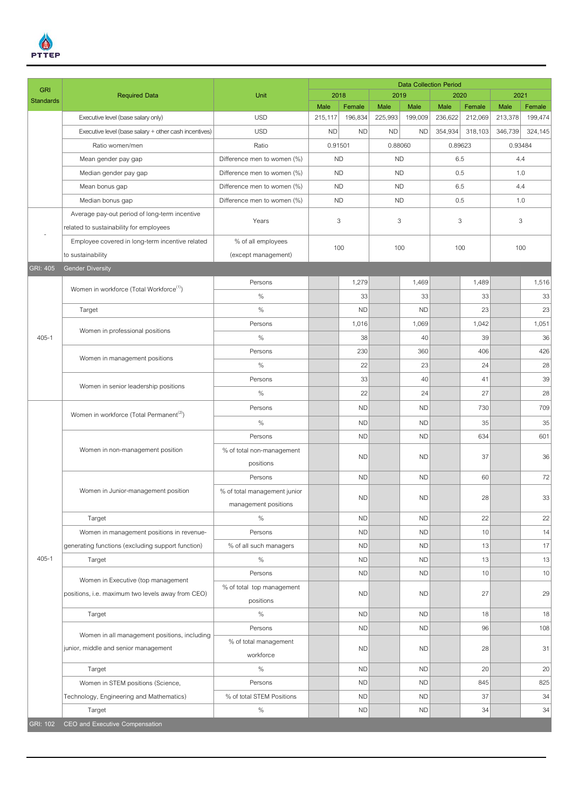

| <b>GRI</b>       |                                                       |                              |           |           |                        | <b>Data Collection Period</b> |         |         |                    |         |  |
|------------------|-------------------------------------------------------|------------------------------|-----------|-----------|------------------------|-------------------------------|---------|---------|--------------------|---------|--|
| <b>Standards</b> | <b>Required Data</b>                                  | Unit                         | 2018      |           | 2019                   |                               | 2020    |         | 2021               |         |  |
|                  |                                                       |                              | Male      | Female    | Male                   | Male                          | Male    | Female  | Male               | Female  |  |
|                  | Executive level (base salary only)                    | <b>USD</b>                   | 215,117   | 196,834   | 225,993                | 199,009                       | 236,622 | 212,069 | 213,378            | 199,474 |  |
|                  | Executive level (base salary + other cash incentives) | <b>USD</b>                   | <b>ND</b> | <b>ND</b> | <b>ND</b><br><b>ND</b> |                               | 354,934 | 318,103 | 324,145<br>346,739 |         |  |
|                  | Ratio women/men                                       | Ratio                        | 0.91501   |           | 0.88060                |                               | 0.89623 |         | 0.93484            |         |  |
|                  | Mean gender pay gap                                   | Difference men to women (%)  | <b>ND</b> |           | <b>ND</b>              |                               | 6.5     |         | 4.4                |         |  |
|                  | Median gender pay gap                                 | Difference men to women (%)  |           | <b>ND</b> |                        | <b>ND</b>                     | 0.5     |         | 1.0                |         |  |
|                  | Mean bonus gap                                        | Difference men to women (%)  | <b>ND</b> |           | <b>ND</b>              |                               | 6.5     |         | 4.4                |         |  |
|                  | Median bonus gap                                      | Difference men to women (%)  | <b>ND</b> |           | <b>ND</b>              |                               | 0.5     |         | 1.0                |         |  |
|                  | Average pay-out period of long-term incentive         | Years                        | 3         |           | 3                      |                               | 3       |         | 3                  |         |  |
|                  | related to sustainability for employees               |                              |           |           |                        |                               |         |         |                    |         |  |
|                  | Employee covered in long-term incentive related       | % of all employees           | 100       |           | 100                    |                               | 100     |         | 100                |         |  |
|                  | to sustainability                                     | (except management)          |           |           |                        |                               |         |         |                    |         |  |
| GRI: 405         | <b>Gender Diversity</b>                               |                              |           |           |                        |                               |         |         |                    |         |  |
|                  | Women in workforce (Total Workforce <sup>(1)</sup> )  | Persons                      |           | 1,279     |                        | 1,469                         |         | 1,489   |                    | 1,516   |  |
|                  |                                                       | $\%$                         |           | 33        |                        | 33                            |         | 33      |                    | 33      |  |
|                  | Target                                                | $\%$                         |           | <b>ND</b> |                        | <b>ND</b>                     |         | 23      |                    | 23      |  |
|                  |                                                       | Persons                      |           | 1,016     |                        | 1,069                         |         | 1,042   |                    | 1,051   |  |
| $405 - 1$        | Women in professional positions                       | $\%$                         |           | 38        |                        | 40                            |         | 39      |                    | 36      |  |
|                  | Women in management positions                         | Persons                      |           | 230       |                        | 360                           |         | 406     |                    | 426     |  |
|                  |                                                       | $\%$                         |           | 22        |                        | 23                            |         | 24      |                    | 28      |  |
|                  | Women in senior leadership positions                  | Persons                      |           | 33        |                        | 40                            |         | 41      |                    | 39      |  |
|                  |                                                       | $\%$                         |           | 22        |                        | 24                            |         | 27      |                    | 28      |  |
|                  |                                                       | Persons                      |           | <b>ND</b> |                        | <b>ND</b>                     |         | 730     |                    | 709     |  |
|                  | Women in workforce (Total Permanent <sup>(2)</sup> )  |                              |           |           |                        |                               |         |         |                    |         |  |
|                  | Women in non-management position                      | $\%$                         |           | <b>ND</b> |                        | <b>ND</b>                     |         | 35      |                    | 35      |  |
|                  |                                                       | Persons                      |           | <b>ND</b> |                        | <b>ND</b>                     |         | 634     |                    | 601     |  |
|                  |                                                       | % of total non-management    |           | <b>ND</b> |                        | <b>ND</b>                     |         | 37      |                    | 36      |  |
|                  |                                                       | positions                    |           |           |                        |                               |         |         |                    |         |  |
|                  | Women in Junior-management position                   | Persons                      |           | <b>ND</b> |                        | <b>ND</b>                     |         | 60      |                    | 72      |  |
|                  |                                                       | % of total management junior |           | <b>ND</b> |                        | <b>ND</b>                     |         | 28      |                    | 33      |  |
|                  |                                                       | management positions         |           |           |                        |                               |         |         |                    |         |  |
|                  | Target                                                | $\%$                         |           | <b>ND</b> |                        | <b>ND</b>                     |         | 22      |                    | 22      |  |
|                  | Women in management positions in revenue-             | Persons                      |           | <b>ND</b> |                        | <b>ND</b>                     |         | 10      |                    | 14      |  |
|                  | generating functions (excluding support function)     | % of all such managers       |           | <b>ND</b> |                        | <b>ND</b>                     |         | 13      |                    | 17      |  |
| $405 - 1$        | Target                                                | $\%$                         |           | <b>ND</b> |                        | <b>ND</b>                     |         | 13      |                    | 13      |  |
|                  |                                                       | Persons                      |           | <b>ND</b> |                        | <b>ND</b>                     |         | 10      |                    | 10      |  |
|                  | Women in Executive (top management                    | % of total top management    |           |           |                        |                               |         |         |                    |         |  |
|                  | positions, i.e. maximum two levels away from CEO)     | positions                    |           | <b>ND</b> |                        | <b>ND</b>                     |         | 27      |                    | 29      |  |
|                  | Target                                                | $\%$                         |           | <b>ND</b> |                        | <b>ND</b>                     |         | 18      |                    | 18      |  |
|                  |                                                       | Persons                      |           | <b>ND</b> |                        | <b>ND</b>                     |         | 96      |                    | 108     |  |
|                  | Women in all management positions, including          | % of total management        |           |           |                        |                               |         |         |                    |         |  |
|                  | junior, middle and senior management                  | workforce                    |           | <b>ND</b> |                        | <b>ND</b>                     |         | 28      |                    | 31      |  |
|                  | Target                                                | $\%$                         |           | <b>ND</b> |                        | <b>ND</b>                     |         | 20      |                    | 20      |  |
|                  | Women in STEM positions (Science,                     | Persons                      |           | <b>ND</b> |                        | <b>ND</b>                     |         | 845     |                    | 825     |  |
|                  | Technology, Engineering and Mathematics)              | % of total STEM Positions    |           | <b>ND</b> |                        | <b>ND</b>                     |         | 37      |                    | 34      |  |
|                  | Target                                                | $\%$                         |           | <b>ND</b> |                        | <b>ND</b>                     |         | 34      |                    | 34      |  |
| GRI: 102         | CEO and Executive Compensation                        |                              |           |           |                        |                               |         |         |                    |         |  |